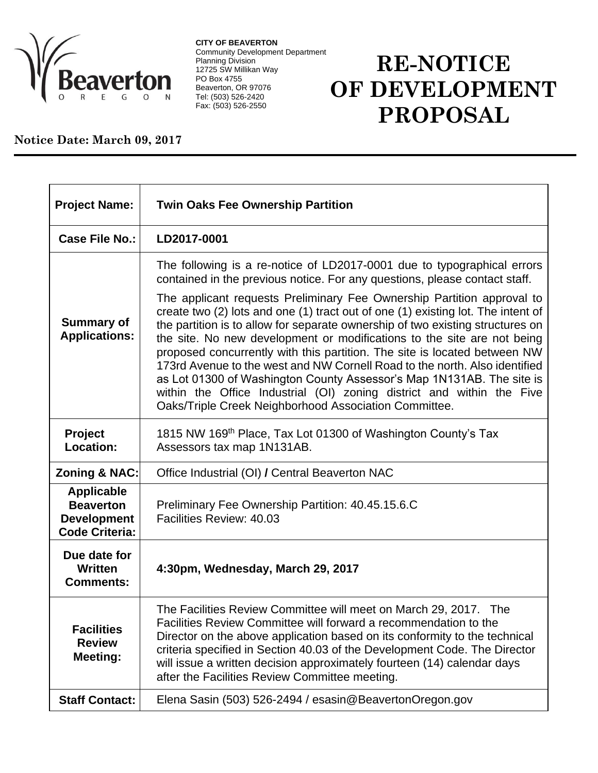

**CITY OF BEAVERTON** Community Development Department Planning Division 12725 SW Millikan Way PO Box 4755 Beaverton, OR 97076 Tel: (503) 526-2420 Fax: (503) 526-2550

## **RE-NOTICE OF DEVELOPMENT PROPOSAL**

## **Notice Date: March 09, 2017**

| <b>Project Name:</b>                                                                 | <b>Twin Oaks Fee Ownership Partition</b>                                                                                                                                                                                                                                                                                                                                                                                                                                                                                                                                                                                                                                                      |
|--------------------------------------------------------------------------------------|-----------------------------------------------------------------------------------------------------------------------------------------------------------------------------------------------------------------------------------------------------------------------------------------------------------------------------------------------------------------------------------------------------------------------------------------------------------------------------------------------------------------------------------------------------------------------------------------------------------------------------------------------------------------------------------------------|
| <b>Case File No.:</b>                                                                | LD2017-0001                                                                                                                                                                                                                                                                                                                                                                                                                                                                                                                                                                                                                                                                                   |
|                                                                                      | The following is a re-notice of LD2017-0001 due to typographical errors<br>contained in the previous notice. For any questions, please contact staff.                                                                                                                                                                                                                                                                                                                                                                                                                                                                                                                                         |
| <b>Summary of</b><br><b>Applications:</b>                                            | The applicant requests Preliminary Fee Ownership Partition approval to<br>create two (2) lots and one (1) tract out of one (1) existing lot. The intent of<br>the partition is to allow for separate ownership of two existing structures on<br>the site. No new development or modifications to the site are not being<br>proposed concurrently with this partition. The site is located between NW<br>173rd Avenue to the west and NW Cornell Road to the north. Also identified<br>as Lot 01300 of Washington County Assessor's Map 1N131AB. The site is<br>within the Office Industrial (OI) zoning district and within the Five<br>Oaks/Triple Creek Neighborhood Association Committee. |
| Project<br>Location:                                                                 | 1815 NW 169 <sup>th</sup> Place, Tax Lot 01300 of Washington County's Tax<br>Assessors tax map 1N131AB.                                                                                                                                                                                                                                                                                                                                                                                                                                                                                                                                                                                       |
| <b>Zoning &amp; NAC:</b>                                                             | Office Industrial (OI) / Central Beaverton NAC                                                                                                                                                                                                                                                                                                                                                                                                                                                                                                                                                                                                                                                |
| <b>Applicable</b><br><b>Beaverton</b><br><b>Development</b><br><b>Code Criteria:</b> | Preliminary Fee Ownership Partition: 40.45.15.6.C<br>Facilities Review: 40.03                                                                                                                                                                                                                                                                                                                                                                                                                                                                                                                                                                                                                 |
| Due date for<br>Written<br><b>Comments:</b>                                          | 4:30pm, Wednesday, March 29, 2017                                                                                                                                                                                                                                                                                                                                                                                                                                                                                                                                                                                                                                                             |
| <b>Facilities</b><br><b>Review</b><br><b>Meeting:</b>                                | The Facilities Review Committee will meet on March 29, 2017. The<br>Facilities Review Committee will forward a recommendation to the<br>Director on the above application based on its conformity to the technical<br>criteria specified in Section 40.03 of the Development Code. The Director<br>will issue a written decision approximately fourteen (14) calendar days<br>after the Facilities Review Committee meeting.                                                                                                                                                                                                                                                                  |
| <b>Staff Contact:</b>                                                                | Elena Sasin (503) 526-2494 / esasin@BeavertonOregon.gov                                                                                                                                                                                                                                                                                                                                                                                                                                                                                                                                                                                                                                       |